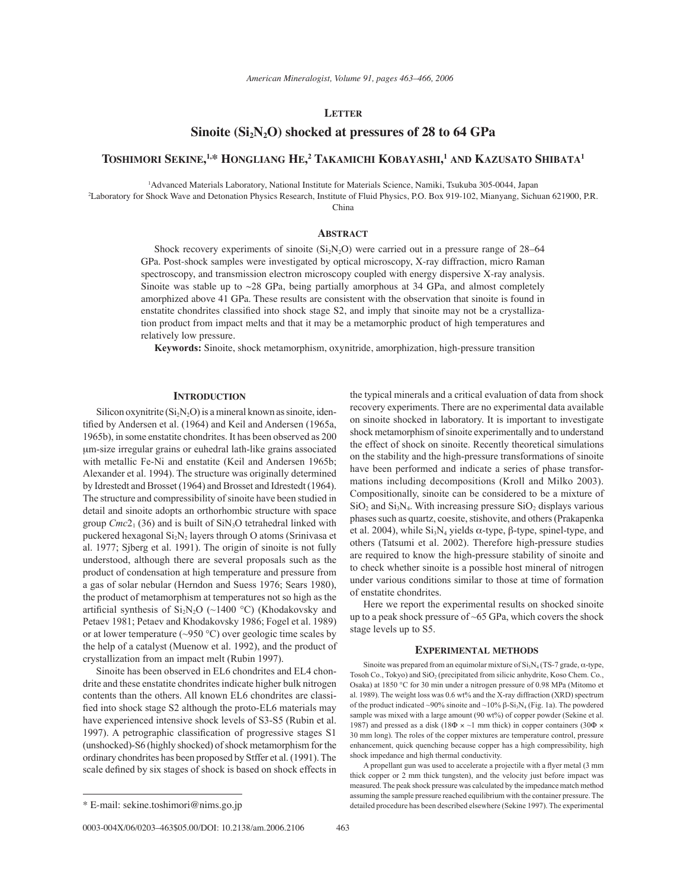## **LETTER**

# Sinoite (Si<sub>2</sub>N<sub>2</sub>O) shocked at pressures of 28 to 64 GPa

# **TOSHIMORI SEKINE, 1,\* HONGLIANG HE, 2 TAKAMICHI KOBAYASHI, <sup>1</sup> AND KAZUSATO SHIBATA1**

1 Advanced Materials Laboratory, National Institute for Materials Science, Namiki, Tsukuba 305-0044, Japan

2 Laboratory for Shock Wave and Detonation Physics Research, Institute of Fluid Physics, P.O. Box 919-102, Mianyang, Sichuan 621900, P.R.

China

## **ABSTRACT**

Shock recovery experiments of sinoite  $(S_i, N_2O)$  were carried out in a pressure range of 28–64 GPa. Post-shock samples were investigated by optical microscopy, X-ray diffraction, micro Raman spectroscopy, and transmission electron microscopy coupled with energy dispersive X-ray analysis. Sinoite was stable up to  $\sim$  28 GPa, being partially amorphous at 34 GPa, and almost completely amorphized above 41 GPa. These results are consistent with the observation that sinoite is found in enstatite chondrites classified into shock stage S2, and imply that sinoite may not be a crystallization product from impact melts and that it may be a metamorphic product of high temperatures and relatively low pressure.

**Keywords:** Sinoite, shock metamorphism, oxynitride, amorphization, high-pressure transition

### **INTRODUCTION**

Silicon oxynitrite  $(Si<sub>2</sub>N<sub>2</sub>O)$  is a mineral known as sinoite, identified by Andersen et al. (1964) and Keil and Andersen (1965a, 1965b), in some enstatite chondrites. It has been observed as 200 µm-size irregular grains or euhedral lath-like grains associated with metallic Fe-Ni and enstatite (Keil and Andersen 1965b; Alexander et al. 1994). The structure was originally determined by Idrestedt and Brosset (1964) and Brosset and Idrestedt (1964). The structure and compressibility of sinoite have been studied in detail and sinoite adopts an orthorhombic structure with space group  $Cmc2<sub>1</sub>$  (36) and is built of  $\text{SiN}_3\text{O}$  tetrahedral linked with puckered hexagonal  $Si<sub>2</sub>N<sub>2</sub>$  layers through O atoms (Srinivasa et al. 1977; Sjberg et al. 1991). The origin of sinoite is not fully understood, although there are several proposals such as the product of condensation at high temperature and pressure from a gas of solar nebular (Herndon and Suess 1976; Sears 1980), the product of metamorphism at temperatures not so high as the artificial synthesis of  $Si_2N_2O$  (~1400 °C) (Khodakovsky and Petaev 1981; Petaev and Khodakovsky 1986; Fogel et al. 1989) or at lower temperature ( $\sim$ 950 °C) over geologic time scales by the help of a catalyst (Muenow et al. 1992), and the product of crystallization from an impact melt (Rubin 1997).

Sinoite has been observed in EL6 chondrites and EL4 chondrite and these enstatite chondrites indicate higher bulk nitrogen contents than the others. All known EL6 chondrites are classified into shock stage S2 although the proto-EL6 materials may have experienced intensive shock levels of S3-S5 (Rubin et al. 1997). A petrographic classification of progressive stages  $S1$ (unshocked)-S6 (highly shocked) of shock metamorphism for the ordinary chondrites has been proposed by Stffer et al. (1991). The scale defined by six stages of shock is based on shock effects in

the typical minerals and a critical evaluation of data from shock recovery experiments. There are no experimental data available on sinoite shocked in laboratory. It is important to investigate shock metamorphism of sinoite experimentally and to understand the effect of shock on sinoite. Recently theoretical simulations on the stability and the high-pressure transformations of sinoite have been performed and indicate a series of phase transformations including decompositions (Kroll and Milko 2003). Compositionally, sinoite can be considered to be a mixture of  $SiO<sub>2</sub>$  and  $Si<sub>3</sub>N<sub>4</sub>$ . With increasing pressure  $SiO<sub>2</sub>$  displays various phases such as quartz, coesite, stishovite, and others (Prakapenka et al. 2004), while  $Si<sub>3</sub>N<sub>4</sub>$  yields α-type,  $β$ -type, spinel-type, and others (Tatsumi et al. 2002). Therefore high-pressure studies are required to know the high-pressure stability of sinoite and to check whether sinoite is a possible host mineral of nitrogen under various conditions similar to those at time of formation of enstatite chondrites.

Here we report the experimental results on shocked sinoite up to a peak shock pressure of ~65 GPa, which covers the shock stage levels up to S5.

### **EXPERIMENTAL METHODS**

Sinoite was prepared from an equimolar mixture of  $\mathrm{Si}_3\mathrm{N}_4$  (TS-7 grade,  $\alpha$ -type, Tosoh Co., Tokyo) and  $SiO<sub>2</sub>$  (precipitated from silicic anhydrite, Koso Chem. Co., Osaka) at 1850 °C for 30 min under a nitrogen pressure of 0.98 MPa (Mitomo et al. 1989). The weight loss was 0.6 wt% and the X-ray diffraction (XRD) spectrum of the product indicated ~90% sinoite and ~10% β-Si<sub>3</sub>N<sub>4</sub> (Fig. 1a). The powdered sample was mixed with a large amount (90 wt%) of copper powder (Sekine et al. 1987) and pressed as a disk (18 $\Phi \times \sim 1$  mm thick) in copper containers (30 $\Phi \times$ 30 mm long). The roles of the copper mixtures are temperature control, pressure enhancement, quick quenching because copper has a high compressibility, high shock impedance and high thermal conductivity.

A propellant gun was used to accelerate a projectile with a flyer metal (3 mm thick copper or 2 mm thick tungsten), and the velocity just before impact was measured. The peak shock pressure was calculated by the impedance match method assuming the sample pressure reached equilibrium with the container pressure. The detailed procedure has been described elsewhere (Sekine 1997). The experimental

<sup>\*</sup> E-mail: sekine.toshimori@nims.go.jp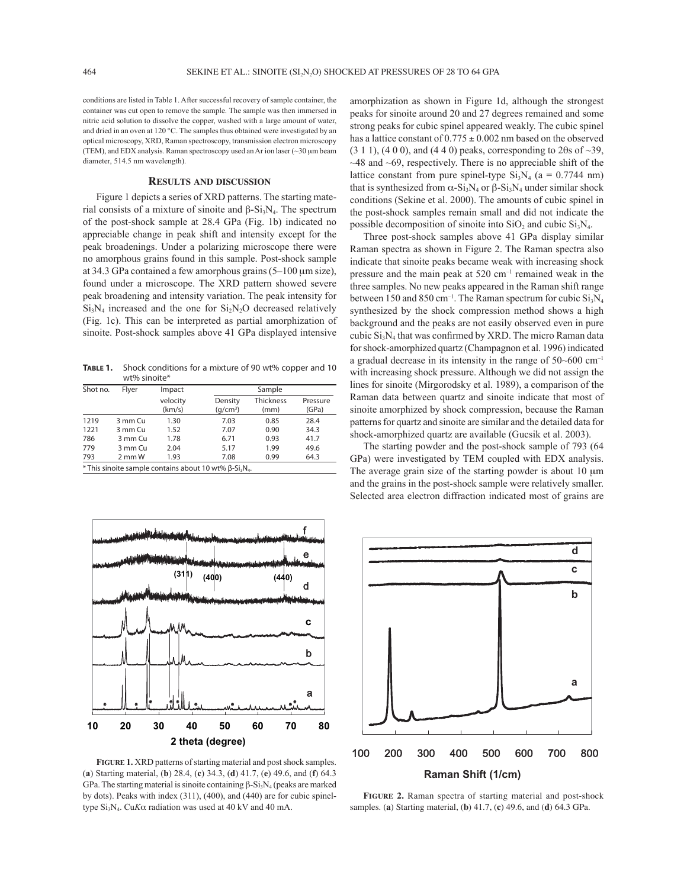conditions are listed in Table 1. After successful recovery of sample container, the container was cut open to remove the sample. The sample was then immersed in nitric acid solution to dissolve the copper, washed with a large amount of water, and dried in an oven at 120 °C. The samples thus obtained were investigated by an optical microscopy, XRD, Raman spectroscopy, transmission electron microscopy (TEM), and EDX analysis. Raman spectroscopy used an Ar ion laser (~30 µm beam diameter, 514.5 nm wavelength).

## **RESULTS AND DISCUSSION**

Figure 1 depicts a series of XRD patterns. The starting material consists of a mixture of sinoite and  $β-Si<sub>3</sub>N<sub>4</sub>$ . The spectrum of the post-shock sample at 28.4 GPa (Fig. 1b) indicated no appreciable change in peak shift and intensity except for the peak broadenings. Under a polarizing microscope there were no amorphous grains found in this sample. Post-shock sample at 34.3 GPa contained a few amorphous grains  $(5-100 \mu m)$  size), found under a microscope. The XRD pattern showed severe peak broadening and intensity variation. The peak intensity for  $Si<sub>3</sub>N<sub>4</sub>$  increased and the one for  $Si<sub>2</sub>N<sub>2</sub>O$  decreased relatively (Fig. 1c). This can be interpreted as partial amorphization of sinoite. Post-shock samples above 41 GPa displayed intensive

**TABLE 1.** Shock conditions for a mixture of 90 wt% copper and 10 wt% sinoite\*

| Shot no. | Flver      | Impact             |                                 | Sample                   |                   |  |
|----------|------------|--------------------|---------------------------------|--------------------------|-------------------|--|
|          |            | velocity<br>(km/s) | Density<br>(q/cm <sup>3</sup> ) | <b>Thickness</b><br>(mm) | Pressure<br>(GPa) |  |
| 1219     | 3 mm Cu    | 1.30               | 7.03                            | 0.85                     | 28.4              |  |
| 1221     | 3 mm Cu    | 1.52               | 7.07                            | 0.90                     | 34.3              |  |
| 786      | 3 mm Cu    | 1.78               | 6.71                            | 0.93                     | 41.7              |  |
| 779      | 3 mm Cu    | 2.04               | 5.17                            | 1.99                     | 49.6              |  |
| 793      | $2$ mm $W$ | 1.93               | 7.08                            | 0.99                     | 64.3              |  |

 $*$  This sinoite sample contains about 10 wt% β-Si<sub>3</sub>N<sub>4</sub>



**FIGURE 1.** XRD patterns of starting material and post shock samples. (**a**) Starting material, (**b**) 28.4, (**c**) 34.3, (**d**) 41.7, (**e**) 49.6, and (**f**) 64.3 GPa. The starting material is sinoite containing  $β-Si<sub>3</sub>N<sub>4</sub>$  (peaks are marked by dots). Peaks with index (311), (400), and (440) are for cubic spineltype Si3N4. Cu*K*α radiation was used at 40 kV and 40 mA.

amorphization as shown in Figure 1d, although the strongest peaks for sinoite around 20 and 27 degrees remained and some strong peaks for cubic spinel appeared weakly. The cubic spinel has a lattice constant of  $0.775 \pm 0.002$  nm based on the observed  $(3 1 1)$ ,  $(4 0 0)$ , and  $(4 4 0)$  peaks, corresponding to  $2\theta$ s of  $\sim$ 39,  $~\sim$ 48 and  $~\sim$ 69, respectively. There is no appreciable shift of the lattice constant from pure spinel-type  $Si_3N_4$  (a = 0.7744 nm) that is synthesized from  $\alpha$ -Si<sub>3</sub>N<sub>4</sub> or β-Si<sub>3</sub>N<sub>4</sub> under similar shock conditions (Sekine et al. 2000). The amounts of cubic spinel in the post-shock samples remain small and did not indicate the possible decomposition of sinoite into  $SiO<sub>2</sub>$  and cubic  $Si<sub>3</sub>N<sub>4</sub>$ .

Three post-shock samples above 41 GPa display similar Raman spectra as shown in Figure 2. The Raman spectra also indicate that sinoite peaks became weak with increasing shock pressure and the main peak at  $520 \text{ cm}^{-1}$  remained weak in the three samples. No new peaks appeared in the Raman shift range between 150 and 850 cm<sup>-1</sup>. The Raman spectrum for cubic  $Si_3N_4$ synthesized by the shock compression method shows a high background and the peaks are not easily observed even in pure cubic  $Si<sub>3</sub>N<sub>4</sub>$  that was confirmed by XRD. The micro Raman data for shock-amorphized quartz (Champagnon et al. 1996) indicated a gradual decrease in its intensity in the range of  $50~600 \text{ cm}^{-1}$ with increasing shock pressure. Although we did not assign the lines for sinoite (Mirgorodsky et al. 1989), a comparison of the Raman data between quartz and sinoite indicate that most of sinoite amorphized by shock compression, because the Raman patterns for quartz and sinoite are similar and the detailed data for shock-amorphized quartz are available (Gucsik et al. 2003).

The starting powder and the post-shock sample of 793 (64 GPa) were investigated by TEM coupled with EDX analysis. The average grain size of the starting powder is about 10  $\mu$ m and the grains in the post-shock sample were relatively smaller. Selected area electron diffraction indicated most of grains are



**FIGURE 2.** Raman spectra of starting material and post-shock samples. (**a**) Starting material, (**b**) 41.7, (**c**) 49.6, and (**d**) 64.3 GPa.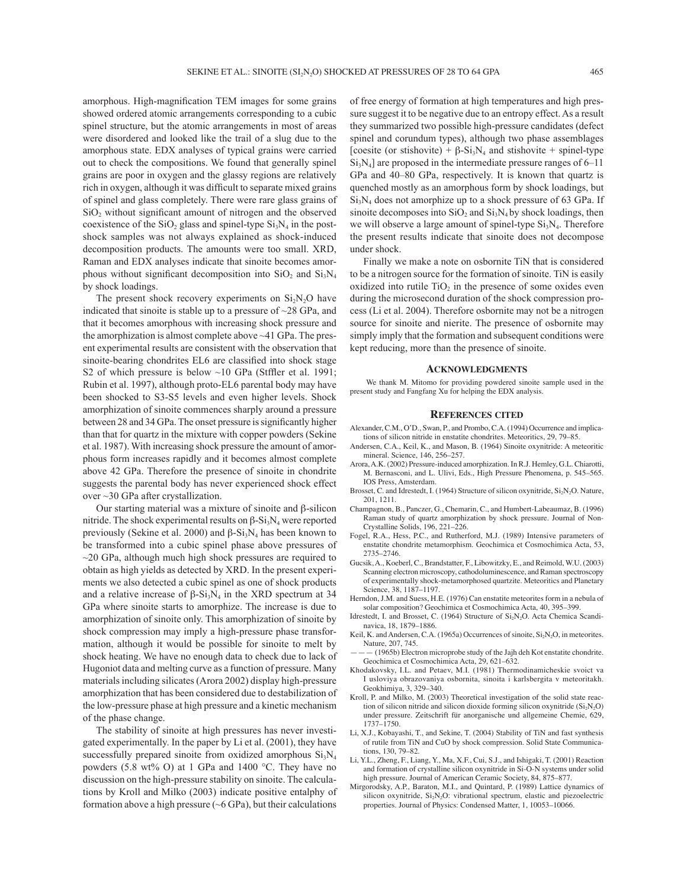amorphous. High-magnification TEM images for some grains showed ordered atomic arrangements corresponding to a cubic spinel structure, but the atomic arrangements in most of areas were disordered and looked like the trail of a slug due to the amorphous state. EDX analyses of typical grains were carried out to check the compositions. We found that generally spinel grains are poor in oxygen and the glassy regions are relatively rich in oxygen, although it was difficult to separate mixed grains of spinel and glass completely. There were rare glass grains of  $SiO<sub>2</sub>$  without significant amount of nitrogen and the observed coexistence of the  $SiO<sub>2</sub>$  glass and spinel-type  $Si<sub>3</sub>N<sub>4</sub>$  in the postshock samples was not always explained as shock-induced decomposition products. The amounts were too small. XRD, Raman and EDX analyses indicate that sinoite becomes amorphous without significant decomposition into  $SiO<sub>2</sub>$  and  $Si<sub>3</sub>N<sub>4</sub>$ by shock loadings.

The present shock recovery experiments on  $Si<sub>2</sub>N<sub>2</sub>O$  have indicated that sinoite is stable up to a pressure of  $\sim$ 28 GPa, and that it becomes amorphous with increasing shock pressure and the amorphization is almost complete above ~41 GPa. The present experimental results are consistent with the observation that sinoite-bearing chondrites EL6 are classified into shock stage S2 of which pressure is below  $\sim$ 10 GPa (Stffler et al. 1991; Rubin et al. 1997), although proto-EL6 parental body may have been shocked to S3-S5 levels and even higher levels. Shock amorphization of sinoite commences sharply around a pressure between 28 and 34 GPa. The onset pressure is significantly higher than that for quartz in the mixture with copper powders (Sekine et al. 1987). With increasing shock pressure the amount of amorphous form increases rapidly and it becomes almost complete above 42 GPa. Therefore the presence of sinoite in chondrite suggests the parental body has never experienced shock effect over ~30 GPa after crystallization.

Our starting material was a mixture of sinoite and β-silicon nitride. The shock experimental results on β-Si<sub>3</sub>N<sub>4</sub> were reported previously (Sekine et al. 2000) and  $β-Si<sub>3</sub>N<sub>4</sub>$  has been known to be transformed into a cubic spinel phase above pressures of  $\sim$ 20 GPa, although much high shock pressures are required to obtain as high yields as detected by XRD. In the present experiments we also detected a cubic spinel as one of shock products and a relative increase of  $\beta$ -Si<sub>3</sub>N<sub>4</sub> in the XRD spectrum at 34 GPa where sinoite starts to amorphize. The increase is due to amorphization of sinoite only. This amorphization of sinoite by shock compression may imply a high-pressure phase transformation, although it would be possible for sinoite to melt by shock heating. We have no enough data to check due to lack of Hugoniot data and melting curve as a function of pressure. Many materials including silicates (Arora 2002) display high-pressure amorphization that has been considered due to destabilization of the low-pressure phase at high pressure and a kinetic mechanism of the phase change.

The stability of sinoite at high pressures has never investigated experimentally. In the paper by Li et al. (2001), they have successfully prepared sinoite from oxidized amorphous  $Si_3N_4$ powders (5.8 wt% O) at 1 GPa and 1400 °C. They have no discussion on the high-pressure stability on sinoite. The calculations by Kroll and Milko (2003) indicate positive entalphy of formation above a high pressure  $({\sim}6$  GPa), but their calculations

of free energy of formation at high temperatures and high pressure suggest it to be negative due to an entropy effect. As a result they summarized two possible high-pressure candidates (defect spinel and corundum types), although two phase assemblages [coesite (or stishovite) +  $\beta$ -Si<sub>3</sub>N<sub>4</sub> and stishovite + spinel-type  $Si<sub>3</sub>N<sub>4</sub>$ ] are proposed in the intermediate pressure ranges of 6–11 GPa and 40–80 GPa, respectively. It is known that quartz is quenched mostly as an amorphous form by shock loadings, but  $Si<sub>3</sub>N<sub>4</sub>$  does not amorphize up to a shock pressure of 63 GPa. If sinoite decomposes into  $SiO<sub>2</sub>$  and  $Si<sub>3</sub>N<sub>4</sub>$  by shock loadings, then we will observe a large amount of spinel-type  $Si_3N_4$ . Therefore the present results indicate that sinoite does not decompose under shock.

Finally we make a note on osbornite TiN that is considered to be a nitrogen source for the formation of sinoite. TiN is easily oxidized into rutile  $TiO<sub>2</sub>$  in the presence of some oxides even during the microsecond duration of the shock compression process (Li et al. 2004). Therefore osbornite may not be a nitrogen source for sinoite and nierite. The presence of osbornite may simply imply that the formation and subsequent conditions were kept reducing, more than the presence of sinoite.

#### **ACKNOWLEDGMENTS**

 We thank M. Mitomo for providing powdered sinoite sample used in the present study and Fangfang Xu for helping the EDX analysis.

#### **REFERENCES CITED**

- Alexander, C.M., O'D., Swan, P., and Prombo, C.A. (1994) Occurrence and implications of silicon nitride in enstatite chondrites. Meteoritics, 29, 79-85.
- Andersen, C.A., Keil, K., and Mason, B. (1964) Sinoite oxynitride: A meteoritic mineral. Science, 146, 256-257.
- Arora, A.K. (2002) Pressure-induced amorphization. In R.J. Hemley, G.L. Chiarotti, M. Bernasconi, and L. Ulivi, Eds., High Pressure Phenomena, p. 545-565. IOS Press, Amsterdam.
- Brosset, C. and Idrestedt, I. (1964) Structure of silicon oxynitride, Si<sub>2</sub>N<sub>2</sub>O. Nature, 201, 1211.
- Champagnon, B., Panczer, G., Chemarin, C., and Humbert-Labeaumaz, B. (1996) Raman study of quartz amorphization by shock pressure. Journal of Non-Crystalline Solids, 196, 221-226.
- Fogel, R.A., Hess, P.C., and Rutherford, M.J. (1989) Intensive parameters of enstatite chondrite metamorphism. Geochimica et Cosmochimica Acta, 53, 2735-2746.
- Gucsik, A., Koeberl, C., Brandstatter, F., Libowitzky, E., and Reimold, W.U. (2003) Scanning electron microscopy, cathodoluminescence, and Raman spectroscopy of experimentally shock-metamorphosed quartzite. Meteoritics and Planetary Science, 38, 1187-1197.
- Herndon, J.M. and Suess, H.E. (1976) Can enstatite meteorites form in a nebula of solar composition? Geochimica et Cosmochimica Acta, 40, 395-399.
- Idrestedt, I. and Brosset, C. (1964) Structure of Si<sub>2</sub>N<sub>2</sub>O. Acta Chemica Scandinavica, 18, 1879-1886.
- Keil, K. and Andersen, C.A. (1965a) Occurrences of sinoite,  $Si<sub>2</sub>N<sub>2</sub>O$ , in meteorites. Nature, 207, 745.
- óóó (1965b) Electron microprobe study of the Jajh deh Kot enstatite chondrite. Geochimica et Cosmochimica Acta, 29, 621-632.
- Khodakovsky, I.L. and Petaev, M.I. (1981) Thermodinamicheskie svoict va I usloviya obrazovaniya osbornita, sinoita i karlsbergita v meteoritakh. Geokhimiya, 3, 329-340.
- Kroll, P. and Milko, M. (2003) Theoretical investigation of the solid state reaction of silicon nitride and silicon dioxide forming silicon oxynitride  $(Si<sub>2</sub>N<sub>2</sub>O)$ under pressure. Zeitschrift für anorganische und allgemeine Chemie, 629, 1737-1750.
- Li, X.J., Kobayashi, T., and Sekine, T. (2004) Stability of TiN and fast synthesis of rutile from TiN and CuO by shock compression. Solid State Communications, 130, 79-82.
- Li, Y.L., Zheng, F., Liang, Y., Ma, X.F., Cui, S.J., and Ishigaki, T. (2001) Reaction and formation of crystalline silicon oxynitride in Si-O-N systems under solid high pressure. Journal of American Ceramic Society, 84, 875-877.
- Mirgorodsky, A.P., Baraton, M.I., and Quintard, P. (1989) Lattice dynamics of silicon oxynitride,  $Si<sub>2</sub>N<sub>2</sub>O$ : vibrational spectrum, elastic and piezoelectric properties. Journal of Physics: Condensed Matter, 1, 10053-10066.